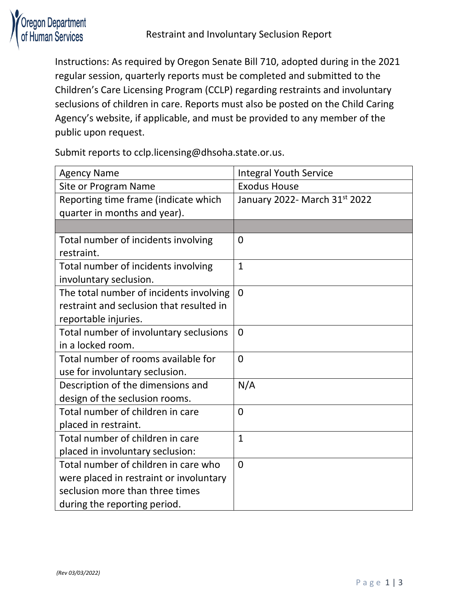

Instructions: As required by Oregon Senate Bill 710, adopted during in the 2021 regular session, quarterly reports must be completed and submitted to the Children's Care Licensing Program (CCLP) regarding restraints and involuntary seclusions of children in care. Reports must also be posted on the Child Caring Agency's website, if applicable, and must be provided to any member of the public upon request.

Submit reports to cclp.licensing@dhsoha.state.or.us.

| <b>Agency Name</b>                       | <b>Integral Youth Service</b> |
|------------------------------------------|-------------------------------|
| Site or Program Name                     | <b>Exodus House</b>           |
| Reporting time frame (indicate which     | January 2022- March 31st 2022 |
| quarter in months and year).             |                               |
|                                          |                               |
| Total number of incidents involving      | $\overline{0}$                |
| restraint.                               |                               |
| Total number of incidents involving      | $\mathbf{1}$                  |
| involuntary seclusion.                   |                               |
| The total number of incidents involving  | $\overline{0}$                |
| restraint and seclusion that resulted in |                               |
| reportable injuries.                     |                               |
| Total number of involuntary seclusions   | $\overline{0}$                |
| in a locked room.                        |                               |
| Total number of rooms available for      | $\overline{0}$                |
| use for involuntary seclusion.           |                               |
| Description of the dimensions and        | N/A                           |
| design of the seclusion rooms.           |                               |
| Total number of children in care         | $\overline{0}$                |
| placed in restraint.                     |                               |
| Total number of children in care         | $\mathbf{1}$                  |
| placed in involuntary seclusion:         |                               |
| Total number of children in care who     | $\overline{0}$                |
| were placed in restraint or involuntary  |                               |
| seclusion more than three times          |                               |
| during the reporting period.             |                               |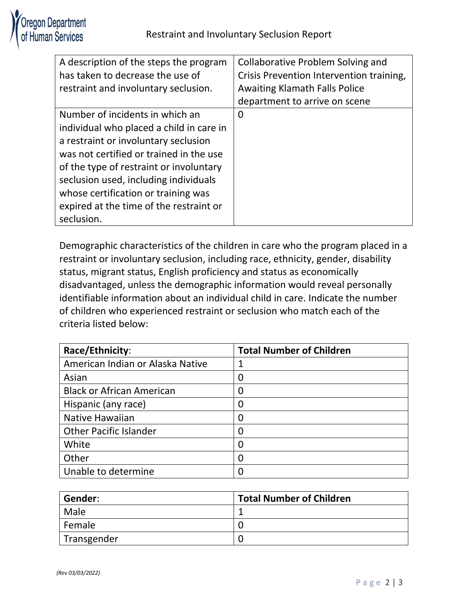| A description of the steps the program   | Collaborative Problem Solving and        |
|------------------------------------------|------------------------------------------|
| has taken to decrease the use of         | Crisis Prevention Intervention training, |
| restraint and involuntary seclusion.     | <b>Awaiting Klamath Falls Police</b>     |
|                                          | department to arrive on scene            |
| Number of incidents in which an          | 0                                        |
| individual who placed a child in care in |                                          |
| a restraint or involuntary seclusion     |                                          |
| was not certified or trained in the use  |                                          |
| of the type of restraint or involuntary  |                                          |
| seclusion used, including individuals    |                                          |
| whose certification or training was      |                                          |
| expired at the time of the restraint or  |                                          |
| seclusion.                               |                                          |

Demographic characteristics of the children in care who the program placed in a restraint or involuntary seclusion, including race, ethnicity, gender, disability status, migrant status, English proficiency and status as economically disadvantaged, unless the demographic information would reveal personally identifiable information about an individual child in care. Indicate the number of children who experienced restraint or seclusion who match each of the criteria listed below:

| Race/Ethnicity:                  | <b>Total Number of Children</b> |
|----------------------------------|---------------------------------|
| American Indian or Alaska Native | 1                               |
| Asian                            | $\overline{0}$                  |
| <b>Black or African American</b> | $\boldsymbol{0}$                |
| Hispanic (any race)              | 0                               |
| <b>Native Hawaiian</b>           | $\overline{0}$                  |
| <b>Other Pacific Islander</b>    | $\overline{0}$                  |
| White                            | 0                               |
| Other                            | $\overline{0}$                  |
| Unable to determine              | 0                               |

| Gender:     | <b>Total Number of Children</b> |
|-------------|---------------------------------|
| Male        |                                 |
| Female      |                                 |
| Transgender |                                 |